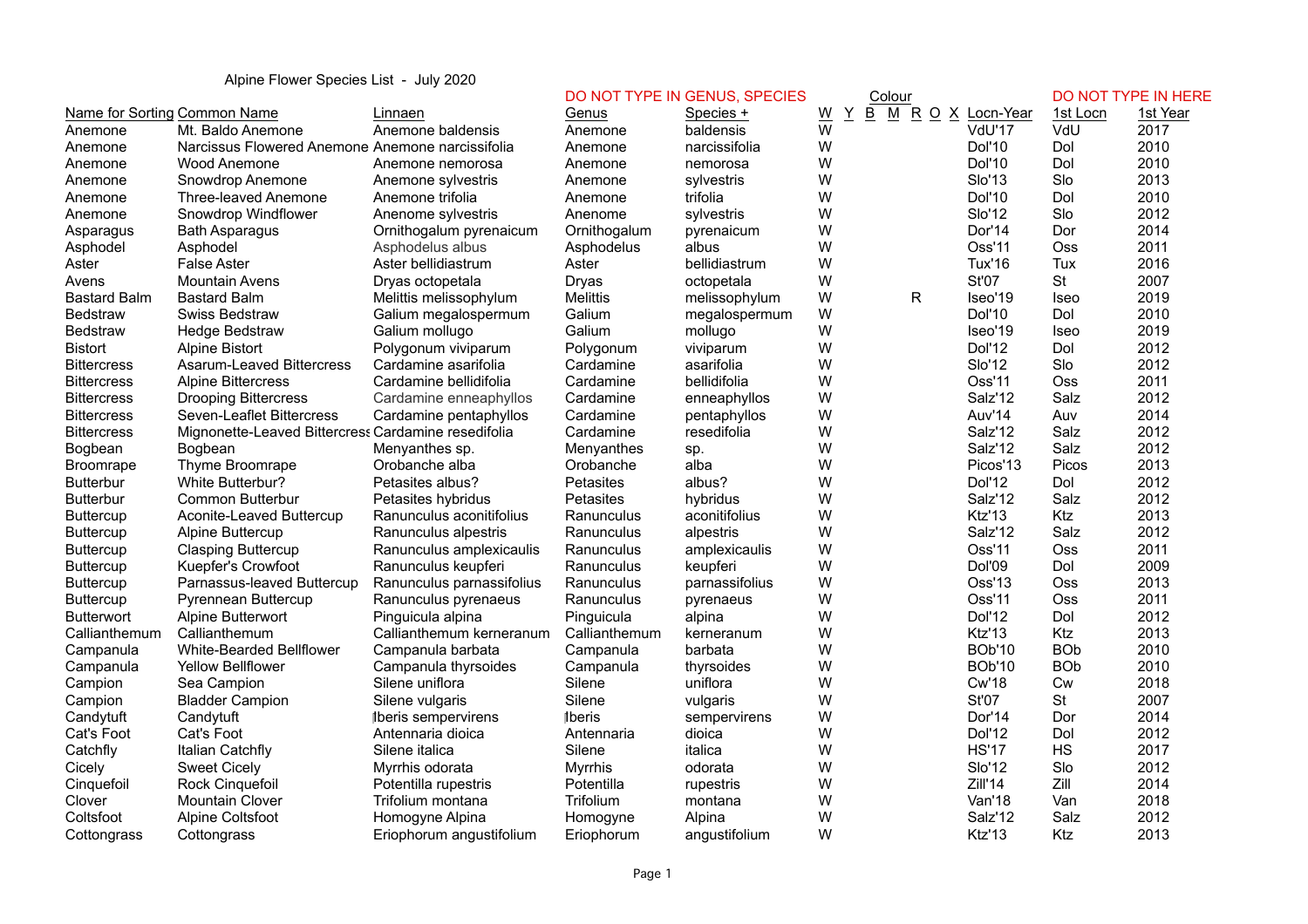## Alpine Flower Species List - July 2020

|                     |                                                     |                            |                  | DO NOT TYPE IN GENUS, SPECIES |   | Colour                      |                      |             | DO NOT TYPE IN HERE |
|---------------------|-----------------------------------------------------|----------------------------|------------------|-------------------------------|---|-----------------------------|----------------------|-------------|---------------------|
|                     | Name for Sorting Common Name                        | Linnaen                    | Genus            | Species +                     | W | Y<br>B<br>M R O X Locn-Year |                      | 1st Locn    | 1st Year            |
| Anemone             | Mt. Baldo Anemone                                   | Anemone baldensis          | Anemone          | baldensis                     | W |                             | VdU'17               | VdU         | 2017                |
| Anemone             | Narcissus Flowered Anemone Anemone narcissifolia    |                            | Anemone          | narcissifolia                 | W |                             | Dol'10               | Dol         | 2010                |
| Anemone             | Wood Anemone                                        | Anemone nemorosa           | Anemone          | nemorosa                      | W |                             | Dol'10               | Dol         | 2010                |
| Anemone             | Snowdrop Anemone                                    | Anemone sylvestris         | Anemone          | sylvestris                    | W |                             | <b>Slo'13</b>        | Slo         | 2013                |
| Anemone             | Three-leaved Anemone                                | Anemone trifolia           | Anemone          | trifolia                      | W |                             | <b>Dol'10</b>        | Dol         | 2010                |
| Anemone             | Snowdrop Windflower                                 | Anenome sylvestris         | Anenome          | sylvestris                    | W |                             | <b>Slo'12</b>        | Slo         | 2012                |
| Asparagus           | <b>Bath Asparagus</b>                               | Ornithogalum pyrenaicum    | Ornithogalum     | pyrenaicum                    | W |                             | Dor'14               | Dor         | 2014                |
| Asphodel            | Asphodel                                            | Asphodelus albus           | Asphodelus       | albus                         | W |                             | Oss'11               | Oss         | 2011                |
| Aster               | <b>False Aster</b>                                  | Aster bellidiastrum        | Aster            | bellidiastrum                 | W |                             | <b>Tux'16</b>        | Tux         | 2016                |
| Avens               | <b>Mountain Avens</b>                               | Dryas octopetala           | Dryas            | octopetala                    | W |                             | <b>St'07</b>         | <b>St</b>   | 2007                |
| <b>Bastard Balm</b> | <b>Bastard Balm</b>                                 | Melittis melissophylum     | <b>Melittis</b>  | melissophylum                 | W | R                           | Iseo'19              | Iseo        | 2019                |
| <b>Bedstraw</b>     | Swiss Bedstraw                                      | Galium megalospermum       | Galium           | megalospermum                 | W |                             | Dol'10               | Dol         | 2010                |
| <b>Bedstraw</b>     | <b>Hedge Bedstraw</b>                               | Galium mollugo             | Galium           | mollugo                       | W |                             | Iseo'19              | <b>Iseo</b> | 2019                |
| <b>Bistort</b>      | <b>Alpine Bistort</b>                               | Polygonum viviparum        | Polygonum        | viviparum                     | W |                             | Dol'12               | Dol         | 2012                |
| <b>Bittercress</b>  | Asarum-Leaved Bittercress                           | Cardamine asarifolia       | Cardamine        | asarifolia                    | W |                             | <b>Slo'12</b>        | Slo         | 2012                |
| <b>Bittercress</b>  | <b>Alpine Bittercress</b>                           | Cardamine bellidifolia     | Cardamine        | bellidifolia                  | W |                             | Oss'11               | Oss         | 2011                |
| <b>Bittercress</b>  | <b>Drooping Bittercress</b>                         | Cardamine enneaphyllos     | Cardamine        | enneaphyllos                  | W |                             | Salz'12              | Salz        | 2012                |
| <b>Bittercress</b>  | Seven-Leaflet Bittercress                           | Cardamine pentaphyllos     | Cardamine        | pentaphyllos                  | W |                             | Auv'14               | Auv         | 2014                |
| <b>Bittercress</b>  | Mignonette-Leaved Bittercress Cardamine resedifolia |                            | Cardamine        | resedifolia                   | W |                             | Salz'12              | Salz        | 2012                |
| Bogbean             | Bogbean                                             | Menyanthes sp.             | Menyanthes       | sp.                           | W |                             | Salz'12              | Salz        | 2012                |
| <b>Broomrape</b>    | Thyme Broomrape                                     | Orobanche alba             | Orobanche        | alba                          | W |                             | Picos' <sub>13</sub> | Picos       | 2013                |
| <b>Butterbur</b>    | White Butterbur?                                    | Petasites albus?           | Petasites        | albus?                        | W |                             | Dol'12               | Dol         | 2012                |
| <b>Butterbur</b>    | <b>Common Butterbur</b>                             | Petasites hybridus         | <b>Petasites</b> | hybridus                      | W |                             | Salz'12              | Salz        | 2012                |
| Buttercup           | Aconite-Leaved Buttercup                            | Ranunculus aconitifolius   | Ranunculus       | aconitifolius                 | W |                             | Ktz'13               | Ktz         | 2013                |
| Buttercup           | Alpine Buttercup                                    | Ranunculus alpestris       | Ranunculus       | alpestris                     | W |                             | Salz'12              | Salz        | 2012                |
| Buttercup           | <b>Clasping Buttercup</b>                           | Ranunculus amplexicaulis   | Ranunculus       | amplexicaulis                 | W |                             | Oss'11               | Oss         | 2011                |
| Buttercup           | Kuepfer's Crowfoot                                  | Ranunculus keupferi        | Ranunculus       | keupferi                      | W |                             | <b>Dol'09</b>        | Dol         | 2009                |
| Buttercup           | Parnassus-leaved Buttercup                          | Ranunculus parnassifolius  | Ranunculus       | parnassifolius                | W |                             | Oss'13               | Oss         | 2013                |
| <b>Buttercup</b>    | Pyrennean Buttercup                                 | Ranunculus pyrenaeus       | Ranunculus       | pyrenaeus                     | W |                             | Oss'11               | <b>Oss</b>  | 2011                |
| <b>Butterwort</b>   | Alpine Butterwort                                   | Pinguicula alpina          | Pinguicula       | alpina                        | W |                             | Dol'12               | Dol         | 2012                |
| Callianthemum       | Callianthemum                                       | Callianthemum kerneranum   | Callianthemum    | kerneranum                    | W |                             | Ktz'13               | Ktz         | 2013                |
| Campanula           | White-Bearded Bellflower                            | Campanula barbata          | Campanula        | barbata                       | W |                             | <b>BOb'10</b>        | <b>BOb</b>  | 2010                |
| Campanula           | <b>Yellow Bellflower</b>                            | Campanula thyrsoides       | Campanula        | thyrsoides                    | W |                             | <b>BOb'10</b>        | <b>BOb</b>  | 2010                |
| Campion             | Sea Campion                                         | Silene uniflora            | Silene           | uniflora                      | W |                             | <b>Cw'18</b>         | Cw          | 2018                |
| Campion             | <b>Bladder Campion</b>                              | Silene vulgaris            | Silene           | vulgaris                      | W |                             | St'07                | <b>St</b>   | 2007                |
| Candytuft           | Candytuft                                           | <b>Iberis sempervirens</b> | <b>I</b> beris   | sempervirens                  | W |                             | Dor'14               | Dor         | 2014                |
| Cat's Foot          | Cat's Foot                                          | Antennaria dioica          | Antennaria       | dioica                        | W |                             | Dol'12               | Dol         | 2012                |
| Catchfly            | Italian Catchfly                                    | Silene italica             | Silene           | italica                       | W |                             | <b>HS'17</b>         | <b>HS</b>   | 2017                |
| Cicely              | <b>Sweet Cicely</b>                                 | Myrrhis odorata            | <b>Myrrhis</b>   | odorata                       | W |                             | <b>Slo'12</b>        | Slo         | 2012                |
| Cinquefoil          | <b>Rock Cinquefoil</b>                              | Potentilla rupestris       | Potentilla       | rupestris                     | W |                             | Zill'14              | Zill        | 2014                |
| Clover              | <b>Mountain Clover</b>                              | Trifolium montana          | Trifolium        | montana                       | W |                             | Van'18               | Van         | 2018                |
| Coltsfoot           | <b>Alpine Coltsfoot</b>                             | Homogyne Alpina            | Homogyne         | Alpina                        | W |                             | Salz'12              | Salz        | 2012                |
| Cottongrass         | Cottongrass                                         | Eriophorum angustifolium   | Eriophorum       | angustifolium                 | W |                             | Ktz'13               | Ktz         | 2013                |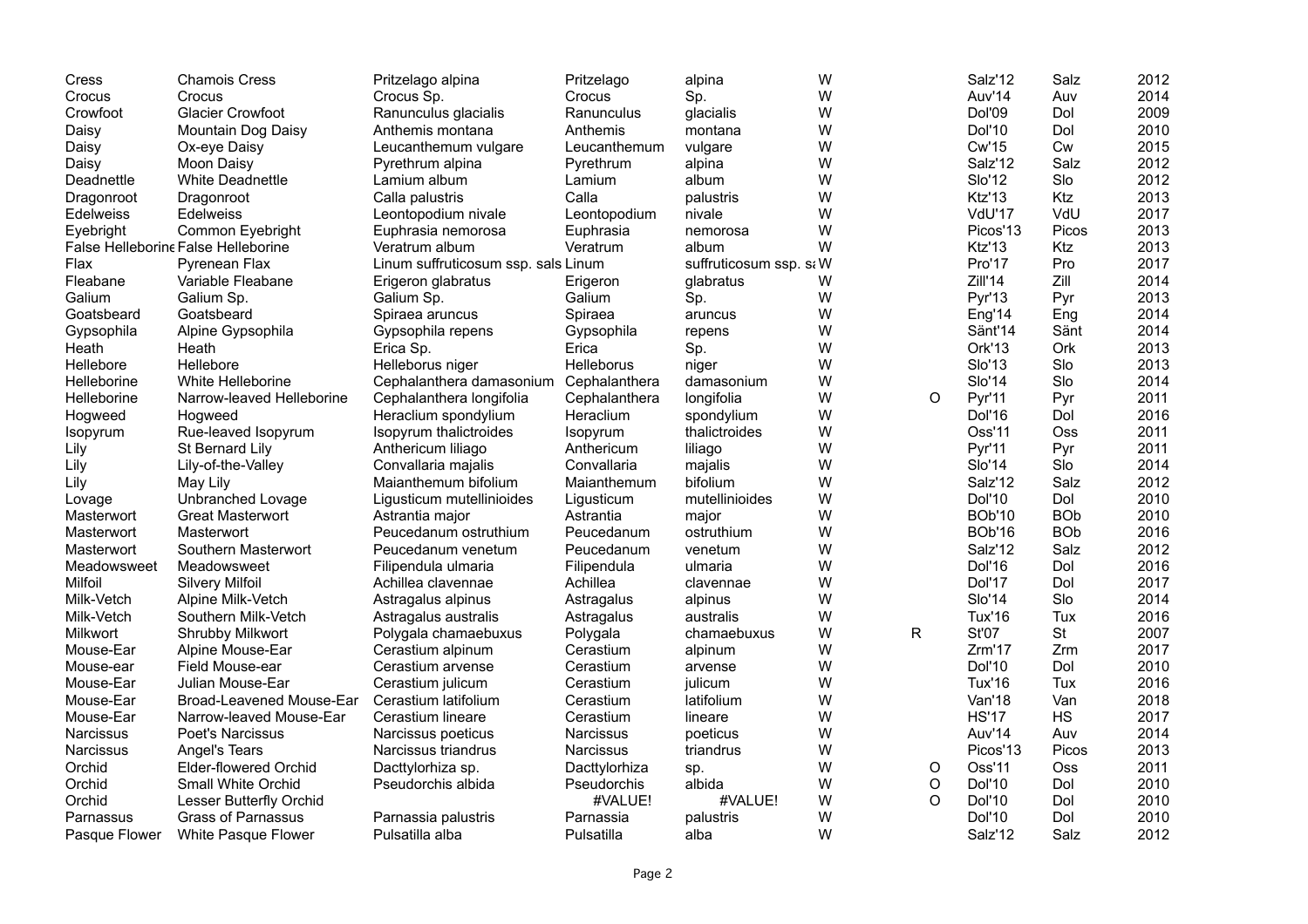| Cress            | <b>Chamois Cress</b>                | Pritzelago alpina                   | Pritzelago        | alpina                  | W |              | Salz'12              | Salz       | 2012 |
|------------------|-------------------------------------|-------------------------------------|-------------------|-------------------------|---|--------------|----------------------|------------|------|
| Crocus           | Crocus                              | Crocus Sp.                          | Crocus            | Sp.                     | W |              | Auv'14               | Auv        | 2014 |
| Crowfoot         | <b>Glacier Crowfoot</b>             | Ranunculus glacialis                | Ranunculus        | glacialis               | W |              | Dol'09               | Dol        | 2009 |
| Daisy            | Mountain Dog Daisy                  | Anthemis montana                    | Anthemis          | montana                 | W |              | Dol'10               | Dol        | 2010 |
| Daisy            | Ox-eye Daisy                        | Leucanthemum vulgare                | Leucanthemum      | vulgare                 | W |              | Cw'15                | Cw         | 2015 |
| Daisy            | Moon Daisy                          | Pyrethrum alpina                    | Pyrethrum         | alpina                  | W |              | Salz'12              | Salz       | 2012 |
| Deadnettle       | <b>White Deadnettle</b>             | Lamium album                        | Lamium            | album                   | W |              | Slo'12               | Slo        | 2012 |
| Dragonroot       | Dragonroot                          | Calla palustris                     | Calla             | palustris               | W |              | Ktz'13               | Ktz        | 2013 |
| <b>Edelweiss</b> | <b>Edelweiss</b>                    | Leontopodium nivale                 | Leontopodium      | nivale                  | W |              | VdU'17               | VdU        | 2017 |
| Evebright        | Common Eyebright                    | Euphrasia nemorosa                  | Euphrasia         | nemorosa                | W |              | Picos' <sub>13</sub> | Picos      | 2013 |
|                  | False Helleborine False Helleborine | Veratrum album                      | Veratrum          | album                   | W |              | Ktz'13               | Ktz        | 2013 |
| Flax             | Pyrenean Flax                       | Linum suffruticosum ssp. sals Linum |                   | suffruticosum ssp. si W |   |              | Pro'17               | Pro        | 2017 |
| Fleabane         | Variable Fleabane                   | Erigeron glabratus                  | Erigeron          | glabratus               | W |              | Zill'14              | Zill       | 2014 |
| Galium           | Galium Sp.                          | Galium Sp.                          | Galium            | Sp.                     | W |              | Pyr'13               | Pyr        | 2013 |
| Goatsbeard       | Goatsbeard                          | Spiraea aruncus                     | Spiraea           | aruncus                 | W |              | Eng'14               | Eng        | 2014 |
| Gypsophila       | Alpine Gypsophila                   | Gypsophila repens                   | Gypsophila        | repens                  | W |              | Sänt'14              | Sänt       | 2014 |
| Heath            | Heath                               | Erica Sp.                           | Erica             | Sp.                     | W |              | Ork'13               | Ork        | 2013 |
| <b>Hellebore</b> | Hellebore                           | Helleborus niger                    | <b>Helleborus</b> | niger                   | W |              | Slo'13               | Slo        | 2013 |
| Helleborine      | White Helleborine                   | Cephalanthera damasonium            | Cephalanthera     | damasonium              | W |              | <b>Slo'14</b>        | Slo        | 2014 |
| Helleborine      | Narrow-leaved Helleborine           | Cephalanthera longifolia            | Cephalanthera     | longifolia              | W | $\circ$      | Pyr'11               | Pyr        | 2011 |
| Hogweed          | Hogweed                             | Heraclium spondylium                | Heraclium         | spondylium              | W |              | Dol'16               | Dol        | 2016 |
| Isopyrum         | Rue-leaved Isopyrum                 | Isopyrum thalictroides              | <b>Isopyrum</b>   | thalictroides           | W |              | Oss'11               | <b>Oss</b> | 2011 |
| Lily             | St Bernard Lily                     | Anthericum liliago                  | Anthericum        | liliago                 | W |              | Pyr'11               | Pyr        | 2011 |
| Lily             | Lily-of-the-Valley                  | Convallaria majalis                 | Convallaria       | majalis                 | W |              | Slo'14               | Slo        | 2014 |
| Lily             | May Lily                            | Maianthemum bifolium                | Maianthemum       | bifolium                | W |              | Salz'12              | Salz       | 2012 |
| Lovage           | Unbranched Lovage                   | Ligusticum mutellinioides           | Ligusticum        | mutellinioides          | W |              | <b>Dol'10</b>        | Dol        | 2010 |
| Masterwort       | <b>Great Masterwort</b>             | Astrantia major                     | Astrantia         | major                   | W |              | <b>BOb'10</b>        | <b>BOb</b> | 2010 |
| Masterwort       | Masterwort                          | Peucedanum ostruthium               | Peucedanum        | ostruthium              | W |              | <b>BOb'16</b>        | <b>BOb</b> | 2016 |
| Masterwort       | Southern Masterwort                 | Peucedanum venetum                  | Peucedanum        | venetum                 | W |              | Salz'12              | Salz       | 2012 |
| Meadowsweet      | Meadowsweet                         | Filipendula ulmaria                 | Filipendula       | ulmaria                 | W |              | Dol'16               | Dol        | 2016 |
| <b>Milfoil</b>   | <b>Silvery Milfoil</b>              | Achillea clavennae                  | Achillea          | clavennae               | W |              | Dol'17               | Dol        | 2017 |
| Milk-Vetch       | Alpine Milk-Vetch                   | Astragalus alpinus                  | Astragalus        | alpinus                 | W |              | Slo'14               | Slo        | 2014 |
| Milk-Vetch       | Southern Milk-Vetch                 | Astragalus australis                | Astragalus        | australis               | W |              | <b>Tux'16</b>        | Tux        | 2016 |
| Milkwort         | <b>Shrubby Milkwort</b>             | Polygala chamaebuxus                | Polygala          | chamaebuxus             | W | $\mathsf{R}$ | <b>St'07</b>         | <b>St</b>  | 2007 |
| Mouse-Ear        | Alpine Mouse-Ear                    | Cerastium alpinum                   | Cerastium         | alpinum                 | W |              | Zrm'17               | Zrm        | 2017 |
| Mouse-ear        | Field Mouse-ear                     | Cerastium arvense                   | Cerastium         | arvense                 | W |              | <b>Dol'10</b>        | Dol        | 2010 |
| Mouse-Ear        | Julian Mouse-Ear                    | Cerastium julicum                   | Cerastium         | julicum                 | W |              | Tux'16               | Tux        | 2016 |
| Mouse-Ear        | Broad-Leavened Mouse-Ear            | Cerastium latifolium                | Cerastium         | latifolium              | W |              | Van'18               | Van        | 2018 |
| Mouse-Ear        | Narrow-leaved Mouse-Ear             | Cerastium lineare                   | Cerastium         | lineare                 | W |              | <b>HS'17</b>         | <b>HS</b>  | 2017 |
| <b>Narcissus</b> | <b>Poet's Narcissus</b>             | Narcissus poeticus                  | <b>Narcissus</b>  | poeticus                | W |              | Auv'14               | Auv        | 2014 |
| <b>Narcissus</b> | Angel's Tears                       | Narcissus triandrus                 | Narcissus         | triandrus               | W |              | Picos' <sub>13</sub> | Picos      | 2013 |
| Orchid           | Elder-flowered Orchid               | Dacttylorhiza sp.                   | Dacttylorhiza     | sp.                     | W | O            | Oss'11               | <b>Oss</b> | 2011 |
| Orchid           | <b>Small White Orchid</b>           | Pseudorchis albida                  | Pseudorchis       | albida                  | W | O            | <b>Dol'10</b>        | Dol        | 2010 |
| Orchid           | Lesser Butterfly Orchid             |                                     | #VALUE!           | #VALUE!                 | W | $\Omega$     | Dol'10               | Dol        | 2010 |
| Parnassus        | <b>Grass of Parnassus</b>           | Parnassia palustris                 | Parnassia         | palustris               | W |              | <b>Dol'10</b>        | Dol        | 2010 |
| Pasque Flower    | White Pasque Flower                 | Pulsatilla alba                     | Pulsatilla        | alba                    | W |              | Salz'12              | Salz       | 2012 |
|                  |                                     |                                     |                   |                         |   |              |                      |            |      |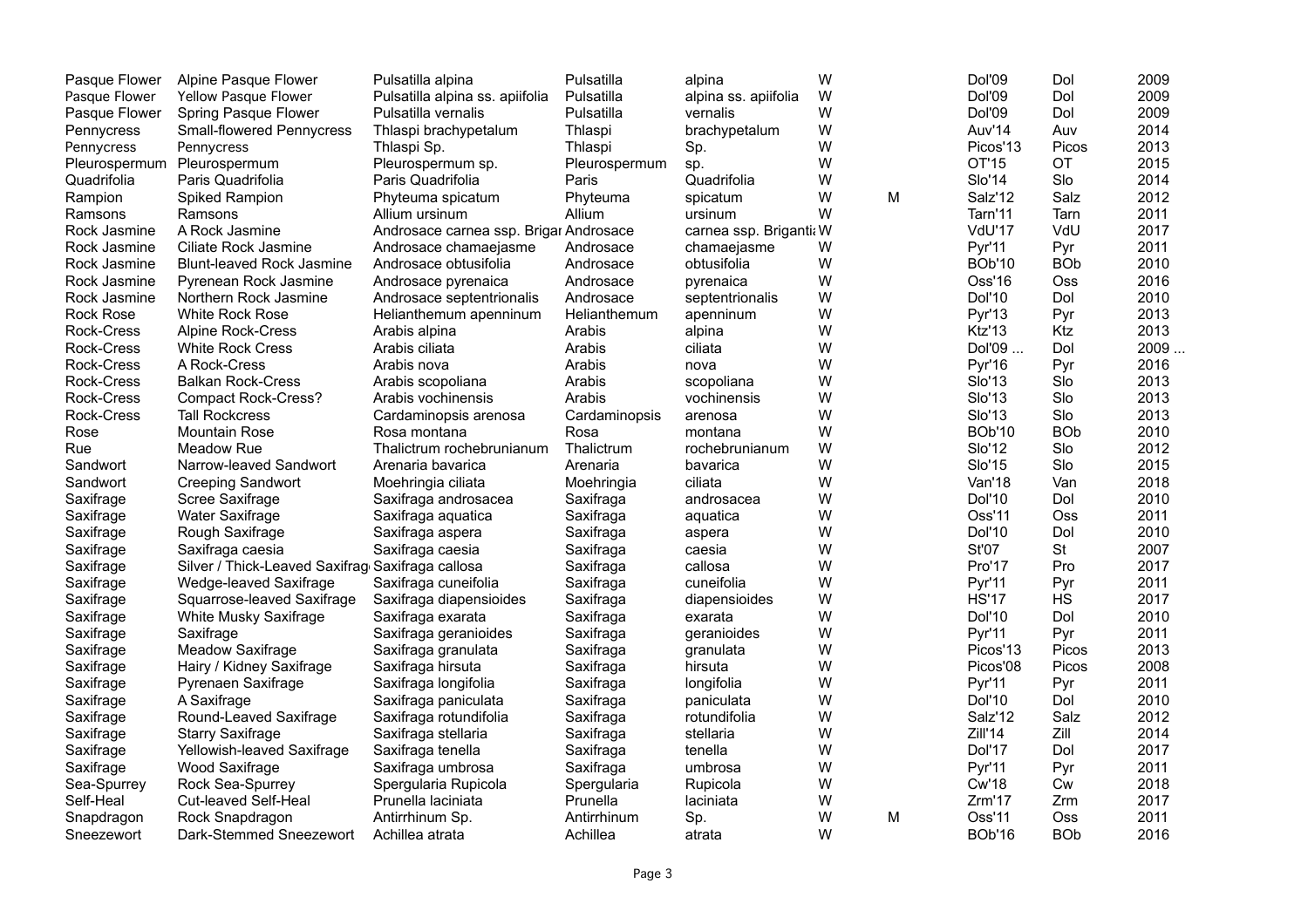| Pasque Flower          | Alpine Pasque Flower                             | Pulsatilla alpina                      | Pulsatilla    | alpina                  | W |   | <b>Dol'09</b>        | Dol        | 2009  |
|------------------------|--------------------------------------------------|----------------------------------------|---------------|-------------------------|---|---|----------------------|------------|-------|
| Pasque Flower          | Yellow Pasque Flower                             | Pulsatilla alpina ss. apiifolia        | Pulsatilla    | alpina ss. apiifolia    | W |   | <b>Dol'09</b>        | Dol        | 2009  |
| Pasque Flower          | Spring Pasque Flower                             | Pulsatilla vernalis                    | Pulsatilla    | vernalis                | W |   | Dol'09               | Dol        | 2009  |
| Pennycress             | <b>Small-flowered Pennycress</b>                 | Thlaspi brachypetalum                  | Thlaspi       | brachypetalum           | W |   | Auv'14               | Auv        | 2014  |
| Pennycress             | Pennycress                                       | Thlaspi Sp.                            | Thlaspi       | Sp.                     | W |   | Picos'13             | Picos      | 2013  |
| Pleurospermum          | Pleurospermum                                    | Pleurospermum sp.                      | Pleurospermum | sp.                     | W |   | OT'15                | OT         | 2015  |
| Quadrifolia            | Paris Quadrifolia                                | Paris Quadrifolia                      | Paris         | Quadrifolia             | W |   | <b>Slo'14</b>        | Slo        | 2014  |
| Rampion                | Spiked Rampion                                   | Phyteuma spicatum                      | Phyteuma      | spicatum                | W | M | Salz'12              | Salz       | 2012  |
| Ramsons                | Ramsons                                          | Allium ursinum                         | Allium        | ursinum                 | W |   | Tarn'11              | Tarn       | 2011  |
| Rock Jasmine           | A Rock Jasmine                                   | Androsace carnea ssp. Brigar Androsace |               | carnea ssp. Briganti: W |   |   | VdU'17               | VdU        | 2017  |
| Rock Jasmine           | Ciliate Rock Jasmine                             | Androsace chamaejasme                  | Androsace     | chamaejasme             | W |   | <b>Pyr'11</b>        | Pyr        | 2011  |
| Rock Jasmine           | <b>Blunt-leaved Rock Jasmine</b>                 | Androsace obtusifolia                  | Androsace     | obtusifolia             | W |   | <b>BOb'10</b>        | <b>BOb</b> | 2010  |
| Rock Jasmine           | Pyrenean Rock Jasmine                            | Androsace pyrenaica                    | Androsace     | pyrenaica               | W |   | Oss'16               | <b>Oss</b> | 2016  |
| Rock Jasmine           | Northern Rock Jasmine                            | Androsace septentrionalis              | Androsace     | septentrionalis         | W |   | <b>Dol'10</b>        | Dol        | 2010  |
| <b>Rock Rose</b>       | White Rock Rose                                  | Helianthemum apenninum                 | Helianthemum  | apenninum               | W |   | <b>Pyr'13</b>        | Pyr        | 2013  |
| Rock-Cress             | Alpine Rock-Cress                                | Arabis alpina                          | Arabis        | alpina                  | W |   | Ktz'13               | Ktz        | 2013  |
| Rock-Cress             | <b>White Rock Cress</b>                          | Arabis ciliata                         | Arabis        | ciliata                 | W |   | Dol'09               | Dol        | 2009. |
| <b>Rock-Cress</b>      | A Rock-Cress                                     | Arabis nova                            | Arabis        | nova                    | W |   | <b>Pyr'16</b>        | Pyr        | 2016  |
| Rock-Cress             | <b>Balkan Rock-Cress</b>                         | Arabis scopoliana                      | Arabis        | scopoliana              | W |   | <b>Slo'13</b>        | Slo        | 2013  |
| Rock-Cress             | <b>Compact Rock-Cress?</b>                       | Arabis vochinensis                     | Arabis        | vochinensis             | W |   | SIO'13               | Slo        | 2013  |
| Rock-Cress             | <b>Tall Rockcress</b>                            | Cardaminopsis arenosa                  | Cardaminopsis | arenosa                 | W |   | <b>Slo'13</b>        | Slo        | 2013  |
| Rose                   | <b>Mountain Rose</b>                             | Rosa montana                           | Rosa          | montana                 | W |   | <b>BOb'10</b>        | <b>BOb</b> | 2010  |
| Rue                    | Meadow Rue                                       | Thalictrum rochebrunianum              | Thalictrum    | rochebrunianum          | W |   | <b>Slo'12</b>        | Slo        | 2012  |
| Sandwort               | Narrow-leaved Sandwort                           | Arenaria bavarica                      | Arenaria      | bavarica                | W |   | SIO'15               | Slo        | 2015  |
| Sandwort               | <b>Creeping Sandwort</b>                         | Moehringia ciliata                     | Moehringia    | ciliata                 | W |   | Van'18               | Van        | 2018  |
| Saxifrage              | Scree Saxifrage                                  | Saxifraga androsacea                   | Saxifraga     | androsacea              | W |   | <b>Dol'10</b>        | Dol        | 2010  |
| Saxifrage              | <b>Water Saxifrage</b>                           | Saxifraga aquatica                     | Saxifraga     | aquatica                | W |   | Oss'11               | Oss        | 2011  |
| Saxifrage              | Rough Saxifrage                                  | Saxifraga aspera                       | Saxifraga     | aspera                  | W |   | Dol'10               | Dol        | 2010  |
| Saxifrage              | Saxifraga caesia                                 | Saxifraga caesia                       | Saxifraga     | caesia                  | W |   | St'07                | <b>St</b>  | 2007  |
| Saxifrage              | Silver / Thick-Leaved Saxifrag Saxifraga callosa |                                        | Saxifraga     | callosa                 | W |   | Pro'17               | Pro        | 2017  |
| Saxifrage              | Wedge-leaved Saxifrage                           | Saxifraga cuneifolia                   | Saxifraga     | cuneifolia              | W |   | Pyr'11               | Pyr        | 2011  |
| Saxifrage              | Squarrose-leaved Saxifrage                       | Saxifraga diapensioides                | Saxifraga     | diapensioides           | W |   | <b>HS'17</b>         | <b>HS</b>  | 2017  |
| Saxifrage              | White Musky Saxifrage                            | Saxifraga exarata                      | Saxifraga     | exarata                 | W |   | <b>Dol'10</b>        | Dol        | 2010  |
| Saxifrage              | Saxifrage                                        | Saxifraga geranioides                  | Saxifraga     | geranioides             | W |   | Pyr'11               | Pyr        | 2011  |
| Saxifrage              | <b>Meadow Saxifrage</b>                          | Saxifraga granulata                    | Saxifraga     |                         | W |   | Picos' <sub>13</sub> | Picos      | 2013  |
|                        |                                                  |                                        | Saxifraga     | granulata<br>hirsuta    | W |   | Picos'08             | Picos      | 2008  |
| Saxifrage<br>Saxifrage | Hairy / Kidney Saxifrage<br>Pyrenaen Saxifrage   | Saxifraga hirsuta                      | Saxifraga     | longifolia              | W |   | Pyr'11               |            | 2011  |
|                        |                                                  | Saxifraga longifolia                   |               |                         | W |   | <b>Dol'10</b>        | Pyr<br>Dol | 2010  |
| Saxifrage              | A Saxifrage                                      | Saxifraga paniculata                   | Saxifraga     | paniculata              | W |   | Salz'12              | Salz       | 2012  |
| Saxifrage              | Round-Leaved Saxifrage                           | Saxifraga rotundifolia                 | Saxifraga     | rotundifolia            |   |   |                      |            |       |
| Saxifrage              | <b>Starry Saxifrage</b>                          | Saxifraga stellaria                    | Saxifraga     | stellaria               | W |   | Zill'14              | Zill       | 2014  |
| Saxifrage              | Yellowish-leaved Saxifrage                       | Saxifraga tenella                      | Saxifraga     | tenella                 | W |   | Dol'17               | Dol        | 2017  |
| Saxifrage              | Wood Saxifrage                                   | Saxifraga umbrosa                      | Saxifraga     | umbrosa                 | W |   | Pyr'11               | Pyr        | 2011  |
| Sea-Spurrey            | Rock Sea-Spurrey                                 | Spergularia Rupicola                   | Spergularia   | Rupicola                | W |   | <b>Cw'18</b>         | Сw         | 2018  |
| Self-Heal              | Cut-leaved Self-Heal                             | Prunella laciniata                     | Prunella      | laciniata               | W |   | Zrm'17               | Zrm        | 2017  |
| Snapdragon             | Rock Snapdragon                                  | Antirrhinum Sp.                        | Antirrhinum   | Sp.                     | W | м | Oss'11               | Oss        | 2011  |
| Sneezewort             | Dark-Stemmed Sneezewort                          | Achillea atrata                        | Achillea      | atrata                  | W |   | <b>BOb'16</b>        | <b>BOb</b> | 2016  |